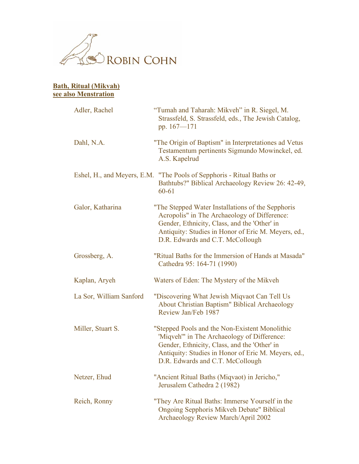

## **Bath, Ritual (Mikvah) see also Menstration** Adler, Rachel "Tumah and Taharah: Mikveh" in R. Siegel, M. Strassfeld, S. Strassfeld, eds., The Jewish Catalog, pp. 167—171 Dahl, N.A. "The Origin of Baptism" in Interpretationes ad Vetus Testamentum pertinents Sigmundo Mowinckel, ed. A.S. Kapelrud Eshel, H., and Meyers, E.M. "The Pools of Sepphoris - Ritual Baths or Bathtubs?" Biblical Archaeology Review 26: 42-49, 60-61 Galor, Katharina "The Stepped Water Installations of the Sepphoris Acropolis" in The Archaeology of Difference: Gender, Ethnicity, Class, and the 'Other' in Antiquity: Studies in Honor of Eric M. Meyers, ed., D.R. Edwards and C.T. McCollough Grossberg, A. "Ritual Baths for the Immersion of Hands at Masada" Cathedra 95: 164-71 (1990) Kaplan, Aryeh Waters of Eden: The Mystery of the Mikveh La Sor, William Sanford "Discovering What Jewish Miqvaot Can Tell Us About Christian Baptism" Biblical Archaeology Review Jan/Feb 1987 Miller, Stuart S. "Stepped Pools and the Non-Existent Monolithic 'Miqveh'" in The Archaeology of Difference: Gender, Ethnicity, Class, and the 'Other' in Antiquity: Studies in Honor of Eric M. Meyers, ed., D.R. Edwards and C.T. McCollough Netzer, Ehud "Ancient Ritual Baths (Miqvaot) in Jericho," Jerusalem Cathedra 2 (1982) Reich, Ronny "They Are Ritual Baths: Immerse Yourself in the Ongoing Sepphoris Mikveh Debate" Biblical Archaeology Review March/April 2002